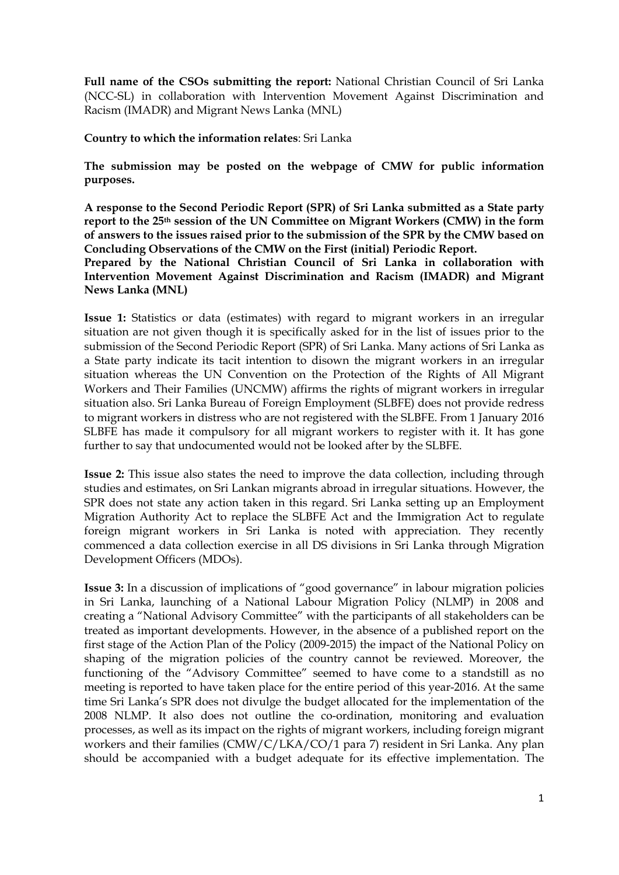**Full name of the CSOs submitting the report:** National Christian Council of Sri Lanka (NCC-SL) in collaboration with Intervention Movement Against Discrimination and Racism (IMADR) and Migrant News Lanka (MNL)

**Country to which the information relates**: Sri Lanka

**The submission may be posted on the webpage of CMW for public information purposes.** 

**A response to the Second Periodic Report (SPR) of Sri Lanka submitted as a State party report to the 25th session of the UN Committee on Migrant Workers (CMW) in the form of answers to the issues raised prior to the submission of the SPR by the CMW based on Concluding Observations of the CMW on the First (initial) Periodic Report.**

**Prepared by the National Christian Council of Sri Lanka in collaboration with Intervention Movement Against Discrimination and Racism (IMADR) and Migrant News Lanka (MNL)**

**Issue 1:** Statistics or data (estimates) with regard to migrant workers in an irregular situation are not given though it is specifically asked for in the list of issues prior to the submission of the Second Periodic Report (SPR) of Sri Lanka. Many actions of Sri Lanka as a State party indicate its tacit intention to disown the migrant workers in an irregular situation whereas the UN Convention on the Protection of the Rights of All Migrant Workers and Their Families (UNCMW) affirms the rights of migrant workers in irregular situation also. Sri Lanka Bureau of Foreign Employment (SLBFE) does not provide redress to migrant workers in distress who are not registered with the SLBFE. From 1 January 2016 SLBFE has made it compulsory for all migrant workers to register with it. It has gone further to say that undocumented would not be looked after by the SLBFE.

**Issue 2:** This issue also states the need to improve the data collection, including through studies and estimates, on Sri Lankan migrants abroad in irregular situations. However, the SPR does not state any action taken in this regard. Sri Lanka setting up an Employment Migration Authority Act to replace the SLBFE Act and the Immigration Act to regulate foreign migrant workers in Sri Lanka is noted with appreciation. They recently commenced a data collection exercise in all DS divisions in Sri Lanka through Migration Development Officers (MDOs).

**Issue 3:** In a discussion of implications of "good governance" in labour migration policies in Sri Lanka, launching of a National Labour Migration Policy (NLMP) in 2008 and creating a "National Advisory Committee" with the participants of all stakeholders can be treated as important developments. However, in the absence of a published report on the first stage of the Action Plan of the Policy (2009-2015) the impact of the National Policy on shaping of the migration policies of the country cannot be reviewed. Moreover, the functioning of the "Advisory Committee" seemed to have come to a standstill as no meeting is reported to have taken place for the entire period of this year-2016. At the same time Sri Lanka's SPR does not divulge the budget allocated for the implementation of the 2008 NLMP. It also does not outline the co-ordination, monitoring and evaluation processes, as well as its impact on the rights of migrant workers, including foreign migrant workers and their families (CMW/C/LKA/CO/1 para 7) resident in Sri Lanka. Any plan should be accompanied with a budget adequate for its effective implementation. The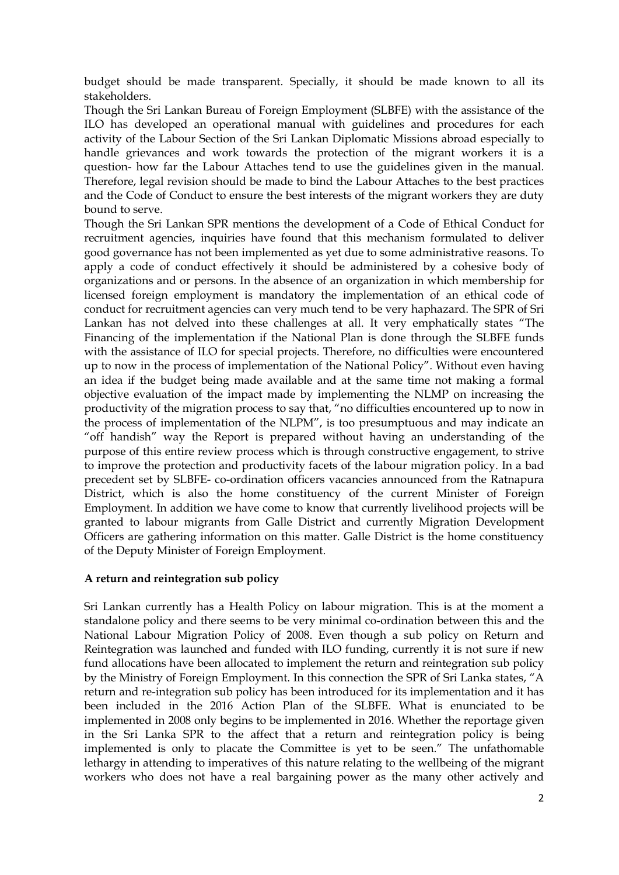budget should be made transparent. Specially, it should be made known to all its stakeholders.

Though the Sri Lankan Bureau of Foreign Employment (SLBFE) with the assistance of the ILO has developed an operational manual with guidelines and procedures for each activity of the Labour Section of the Sri Lankan Diplomatic Missions abroad especially to handle grievances and work towards the protection of the migrant workers it is a question- how far the Labour Attaches tend to use the guidelines given in the manual. Therefore, legal revision should be made to bind the Labour Attaches to the best practices and the Code of Conduct to ensure the best interests of the migrant workers they are duty bound to serve.

Though the Sri Lankan SPR mentions the development of a Code of Ethical Conduct for recruitment agencies, inquiries have found that this mechanism formulated to deliver good governance has not been implemented as yet due to some administrative reasons. To apply a code of conduct effectively it should be administered by a cohesive body of organizations and or persons. In the absence of an organization in which membership for licensed foreign employment is mandatory the implementation of an ethical code of conduct for recruitment agencies can very much tend to be very haphazard. The SPR of Sri Lankan has not delved into these challenges at all. It very emphatically states "The Financing of the implementation if the National Plan is done through the SLBFE funds with the assistance of ILO for special projects. Therefore, no difficulties were encountered up to now in the process of implementation of the National Policy". Without even having an idea if the budget being made available and at the same time not making a formal objective evaluation of the impact made by implementing the NLMP on increasing the productivity of the migration process to say that, "no difficulties encountered up to now in the process of implementation of the NLPM", is too presumptuous and may indicate an "off handish" way the Report is prepared without having an understanding of the purpose of this entire review process which is through constructive engagement, to strive to improve the protection and productivity facets of the labour migration policy. In a bad precedent set by SLBFE- co-ordination officers vacancies announced from the Ratnapura District, which is also the home constituency of the current Minister of Foreign Employment. In addition we have come to know that currently livelihood projects will be granted to labour migrants from Galle District and currently Migration Development Officers are gathering information on this matter. Galle District is the home constituency of the Deputy Minister of Foreign Employment.

## **A return and reintegration sub policy**

Sri Lankan currently has a Health Policy on labour migration. This is at the moment a standalone policy and there seems to be very minimal co-ordination between this and the National Labour Migration Policy of 2008. Even though a sub policy on Return and Reintegration was launched and funded with ILO funding, currently it is not sure if new fund allocations have been allocated to implement the return and reintegration sub policy by the Ministry of Foreign Employment. In this connection the SPR of Sri Lanka states, "A return and re-integration sub policy has been introduced for its implementation and it has been included in the 2016 Action Plan of the SLBFE. What is enunciated to be implemented in 2008 only begins to be implemented in 2016. Whether the reportage given in the Sri Lanka SPR to the affect that a return and reintegration policy is being implemented is only to placate the Committee is yet to be seen." The unfathomable lethargy in attending to imperatives of this nature relating to the wellbeing of the migrant workers who does not have a real bargaining power as the many other actively and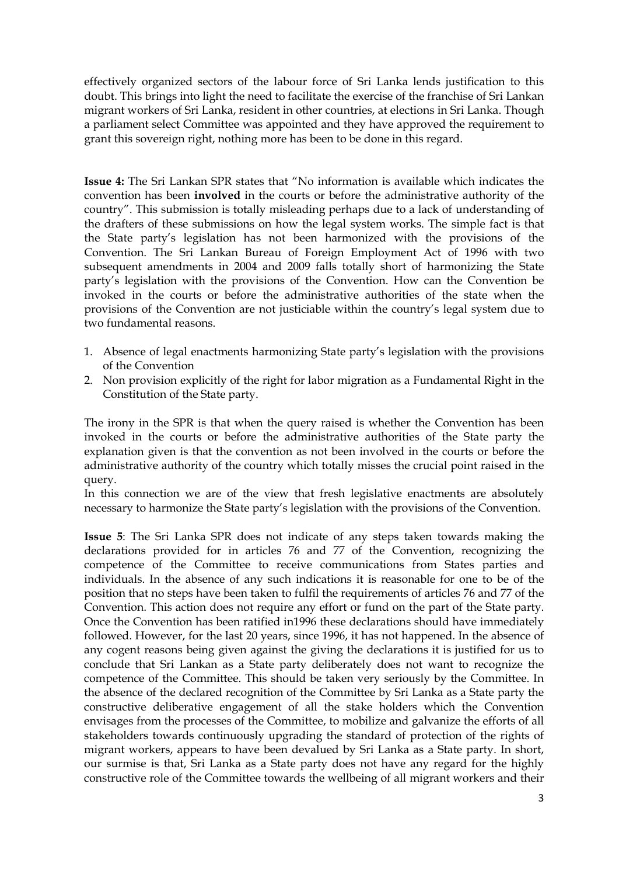effectively organized sectors of the labour force of Sri Lanka lends justification to this doubt. This brings into light the need to facilitate the exercise of the franchise of Sri Lankan migrant workers of Sri Lanka, resident in other countries, at elections in Sri Lanka. Though a parliament select Committee was appointed and they have approved the requirement to grant this sovereign right, nothing more has been to be done in this regard.

**Issue 4:** The Sri Lankan SPR states that "No information is available which indicates the convention has been **involved** in the courts or before the administrative authority of the country". This submission is totally misleading perhaps due to a lack of understanding of the drafters of these submissions on how the legal system works. The simple fact is that the State party's legislation has not been harmonized with the provisions of the Convention. The Sri Lankan Bureau of Foreign Employment Act of 1996 with two subsequent amendments in 2004 and 2009 falls totally short of harmonizing the State party's legislation with the provisions of the Convention. How can the Convention be invoked in the courts or before the administrative authorities of the state when the provisions of the Convention are not justiciable within the country's legal system due to two fundamental reasons.

- 1. Absence of legal enactments harmonizing State party's legislation with the provisions of the Convention
- 2. Non provision explicitly of the right for labor migration as a Fundamental Right in the Constitution of the State party.

The irony in the SPR is that when the query raised is whether the Convention has been invoked in the courts or before the administrative authorities of the State party the explanation given is that the convention as not been involved in the courts or before the administrative authority of the country which totally misses the crucial point raised in the query.

In this connection we are of the view that fresh legislative enactments are absolutely necessary to harmonize the State party's legislation with the provisions of the Convention.

**Issue 5**: The Sri Lanka SPR does not indicate of any steps taken towards making the declarations provided for in articles 76 and 77 of the Convention, recognizing the competence of the Committee to receive communications from States parties and individuals. In the absence of any such indications it is reasonable for one to be of the position that no steps have been taken to fulfil the requirements of articles 76 and 77 of the Convention. This action does not require any effort or fund on the part of the State party. Once the Convention has been ratified in1996 these declarations should have immediately followed. However, for the last 20 years, since 1996, it has not happened. In the absence of any cogent reasons being given against the giving the declarations it is justified for us to conclude that Sri Lankan as a State party deliberately does not want to recognize the competence of the Committee. This should be taken very seriously by the Committee. In the absence of the declared recognition of the Committee by Sri Lanka as a State party the constructive deliberative engagement of all the stake holders which the Convention envisages from the processes of the Committee, to mobilize and galvanize the efforts of all stakeholders towards continuously upgrading the standard of protection of the rights of migrant workers, appears to have been devalued by Sri Lanka as a State party. In short, our surmise is that, Sri Lanka as a State party does not have any regard for the highly constructive role of the Committee towards the wellbeing of all migrant workers and their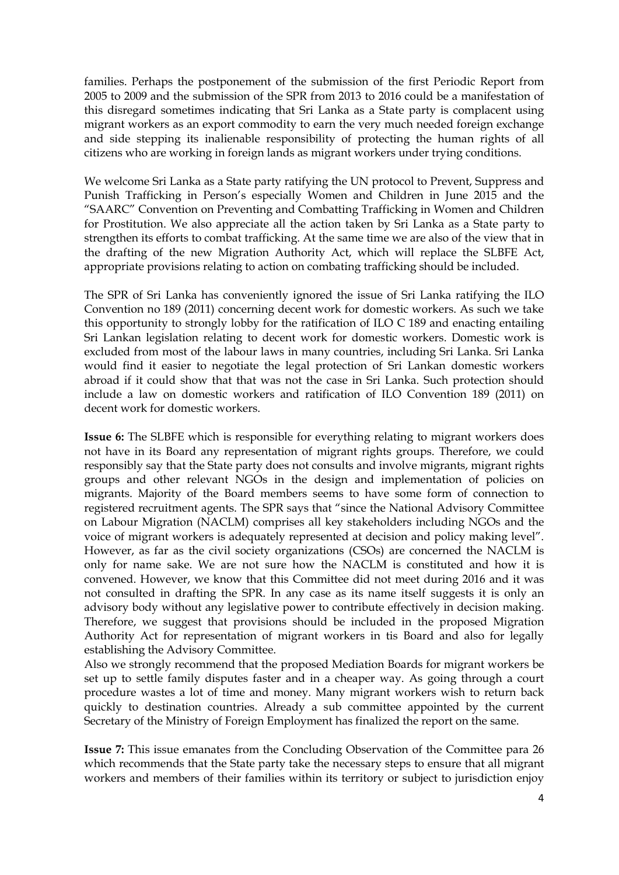families. Perhaps the postponement of the submission of the first Periodic Report from 2005 to 2009 and the submission of the SPR from 2013 to 2016 could be a manifestation of this disregard sometimes indicating that Sri Lanka as a State party is complacent using migrant workers as an export commodity to earn the very much needed foreign exchange and side stepping its inalienable responsibility of protecting the human rights of all citizens who are working in foreign lands as migrant workers under trying conditions.

We welcome Sri Lanka as a State party ratifying the UN protocol to Prevent, Suppress and Punish Trafficking in Person's especially Women and Children in June 2015 and the "SAARC" Convention on Preventing and Combatting Trafficking in Women and Children for Prostitution. We also appreciate all the action taken by Sri Lanka as a State party to strengthen its efforts to combat trafficking. At the same time we are also of the view that in the drafting of the new Migration Authority Act, which will replace the SLBFE Act, appropriate provisions relating to action on combating trafficking should be included.

The SPR of Sri Lanka has conveniently ignored the issue of Sri Lanka ratifying the ILO Convention no 189 (2011) concerning decent work for domestic workers. As such we take this opportunity to strongly lobby for the ratification of ILO C 189 and enacting entailing Sri Lankan legislation relating to decent work for domestic workers. Domestic work is excluded from most of the labour laws in many countries, including Sri Lanka. Sri Lanka would find it easier to negotiate the legal protection of Sri Lankan domestic workers abroad if it could show that that was not the case in Sri Lanka. Such protection should include a law on domestic workers and ratification of ILO Convention 189 (2011) on decent work for domestic workers.

**Issue 6:** The SLBFE which is responsible for everything relating to migrant workers does not have in its Board any representation of migrant rights groups. Therefore, we could responsibly say that the State party does not consults and involve migrants, migrant rights groups and other relevant NGOs in the design and implementation of policies on migrants. Majority of the Board members seems to have some form of connection to registered recruitment agents. The SPR says that "since the National Advisory Committee on Labour Migration (NACLM) comprises all key stakeholders including NGOs and the voice of migrant workers is adequately represented at decision and policy making level". However, as far as the civil society organizations (CSOs) are concerned the NACLM is only for name sake. We are not sure how the NACLM is constituted and how it is convened. However, we know that this Committee did not meet during 2016 and it was not consulted in drafting the SPR. In any case as its name itself suggests it is only an advisory body without any legislative power to contribute effectively in decision making. Therefore, we suggest that provisions should be included in the proposed Migration Authority Act for representation of migrant workers in tis Board and also for legally establishing the Advisory Committee.

Also we strongly recommend that the proposed Mediation Boards for migrant workers be set up to settle family disputes faster and in a cheaper way. As going through a court procedure wastes a lot of time and money. Many migrant workers wish to return back quickly to destination countries. Already a sub committee appointed by the current Secretary of the Ministry of Foreign Employment has finalized the report on the same.

**Issue 7:** This issue emanates from the Concluding Observation of the Committee para 26 which recommends that the State party take the necessary steps to ensure that all migrant workers and members of their families within its territory or subject to jurisdiction enjoy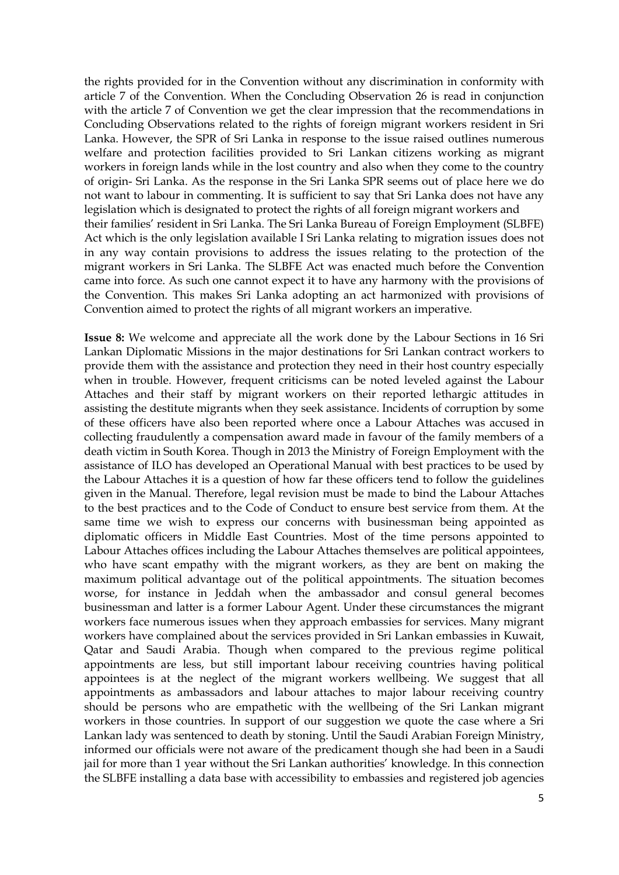the rights provided for in the Convention without any discrimination in conformity with article 7 of the Convention. When the Concluding Observation 26 is read in conjunction with the article 7 of Convention we get the clear impression that the recommendations in Concluding Observations related to the rights of foreign migrant workers resident in Sri Lanka. However, the SPR of Sri Lanka in response to the issue raised outlines numerous welfare and protection facilities provided to Sri Lankan citizens working as migrant workers in foreign lands while in the lost country and also when they come to the country of origin- Sri Lanka. As the response in the Sri Lanka SPR seems out of place here we do not want to labour in commenting. It is sufficient to say that Sri Lanka does not have any legislation which is designated to protect the rights of all foreign migrant workers and their families' resident in Sri Lanka. The Sri Lanka Bureau of Foreign Employment (SLBFE) Act which is the only legislation available I Sri Lanka relating to migration issues does not in any way contain provisions to address the issues relating to the protection of the migrant workers in Sri Lanka. The SLBFE Act was enacted much before the Convention came into force. As such one cannot expect it to have any harmony with the provisions of the Convention. This makes Sri Lanka adopting an act harmonized with provisions of Convention aimed to protect the rights of all migrant workers an imperative.

**Issue 8:** We welcome and appreciate all the work done by the Labour Sections in 16 Sri Lankan Diplomatic Missions in the major destinations for Sri Lankan contract workers to provide them with the assistance and protection they need in their host country especially when in trouble. However, frequent criticisms can be noted leveled against the Labour Attaches and their staff by migrant workers on their reported lethargic attitudes in assisting the destitute migrants when they seek assistance. Incidents of corruption by some of these officers have also been reported where once a Labour Attaches was accused in collecting fraudulently a compensation award made in favour of the family members of a death victim in South Korea. Though in 2013 the Ministry of Foreign Employment with the assistance of ILO has developed an Operational Manual with best practices to be used by the Labour Attaches it is a question of how far these officers tend to follow the guidelines given in the Manual. Therefore, legal revision must be made to bind the Labour Attaches to the best practices and to the Code of Conduct to ensure best service from them. At the same time we wish to express our concerns with businessman being appointed as diplomatic officers in Middle East Countries. Most of the time persons appointed to Labour Attaches offices including the Labour Attaches themselves are political appointees, who have scant empathy with the migrant workers, as they are bent on making the maximum political advantage out of the political appointments. The situation becomes worse, for instance in Jeddah when the ambassador and consul general becomes businessman and latter is a former Labour Agent. Under these circumstances the migrant workers face numerous issues when they approach embassies for services. Many migrant workers have complained about the services provided in Sri Lankan embassies in Kuwait, Qatar and Saudi Arabia. Though when compared to the previous regime political appointments are less, but still important labour receiving countries having political appointees is at the neglect of the migrant workers wellbeing. We suggest that all appointments as ambassadors and labour attaches to major labour receiving country should be persons who are empathetic with the wellbeing of the Sri Lankan migrant workers in those countries. In support of our suggestion we quote the case where a Sri Lankan lady was sentenced to death by stoning. Until the Saudi Arabian Foreign Ministry, informed our officials were not aware of the predicament though she had been in a Saudi jail for more than 1 year without the Sri Lankan authorities' knowledge. In this connection the SLBFE installing a data base with accessibility to embassies and registered job agencies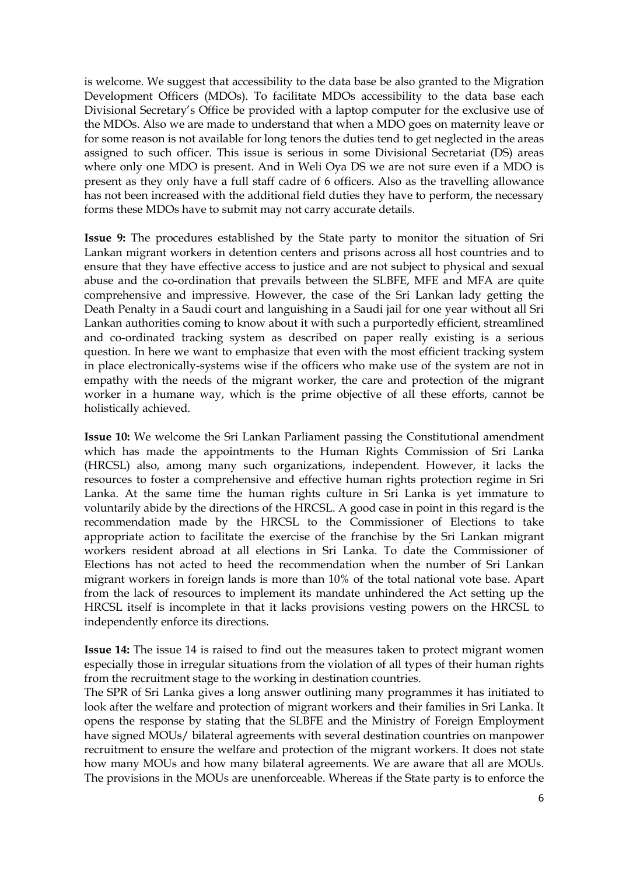is welcome. We suggest that accessibility to the data base be also granted to the Migration Development Officers (MDOs). To facilitate MDOs accessibility to the data base each Divisional Secretary's Office be provided with a laptop computer for the exclusive use of the MDOs. Also we are made to understand that when a MDO goes on maternity leave or for some reason is not available for long tenors the duties tend to get neglected in the areas assigned to such officer. This issue is serious in some Divisional Secretariat (DS) areas where only one MDO is present. And in Weli Oya DS we are not sure even if a MDO is present as they only have a full staff cadre of 6 officers. Also as the travelling allowance has not been increased with the additional field duties they have to perform, the necessary forms these MDOs have to submit may not carry accurate details.

**Issue 9:** The procedures established by the State party to monitor the situation of Sri Lankan migrant workers in detention centers and prisons across all host countries and to ensure that they have effective access to justice and are not subject to physical and sexual abuse and the co-ordination that prevails between the SLBFE, MFE and MFA are quite comprehensive and impressive. However, the case of the Sri Lankan lady getting the Death Penalty in a Saudi court and languishing in a Saudi jail for one year without all Sri Lankan authorities coming to know about it with such a purportedly efficient, streamlined and co-ordinated tracking system as described on paper really existing is a serious question. In here we want to emphasize that even with the most efficient tracking system in place electronically-systems wise if the officers who make use of the system are not in empathy with the needs of the migrant worker, the care and protection of the migrant worker in a humane way, which is the prime objective of all these efforts, cannot be holistically achieved.

**Issue 10:** We welcome the Sri Lankan Parliament passing the Constitutional amendment which has made the appointments to the Human Rights Commission of Sri Lanka (HRCSL) also, among many such organizations, independent. However, it lacks the resources to foster a comprehensive and effective human rights protection regime in Sri Lanka. At the same time the human rights culture in Sri Lanka is yet immature to voluntarily abide by the directions of the HRCSL. A good case in point in this regard is the recommendation made by the HRCSL to the Commissioner of Elections to take appropriate action to facilitate the exercise of the franchise by the Sri Lankan migrant workers resident abroad at all elections in Sri Lanka. To date the Commissioner of Elections has not acted to heed the recommendation when the number of Sri Lankan migrant workers in foreign lands is more than 10% of the total national vote base. Apart from the lack of resources to implement its mandate unhindered the Act setting up the HRCSL itself is incomplete in that it lacks provisions vesting powers on the HRCSL to independently enforce its directions.

**Issue 14:** The issue 14 is raised to find out the measures taken to protect migrant women especially those in irregular situations from the violation of all types of their human rights from the recruitment stage to the working in destination countries.

The SPR of Sri Lanka gives a long answer outlining many programmes it has initiated to look after the welfare and protection of migrant workers and their families in Sri Lanka. It opens the response by stating that the SLBFE and the Ministry of Foreign Employment have signed MOUs/ bilateral agreements with several destination countries on manpower recruitment to ensure the welfare and protection of the migrant workers. It does not state how many MOUs and how many bilateral agreements. We are aware that all are MOUs. The provisions in the MOUs are unenforceable. Whereas if the State party is to enforce the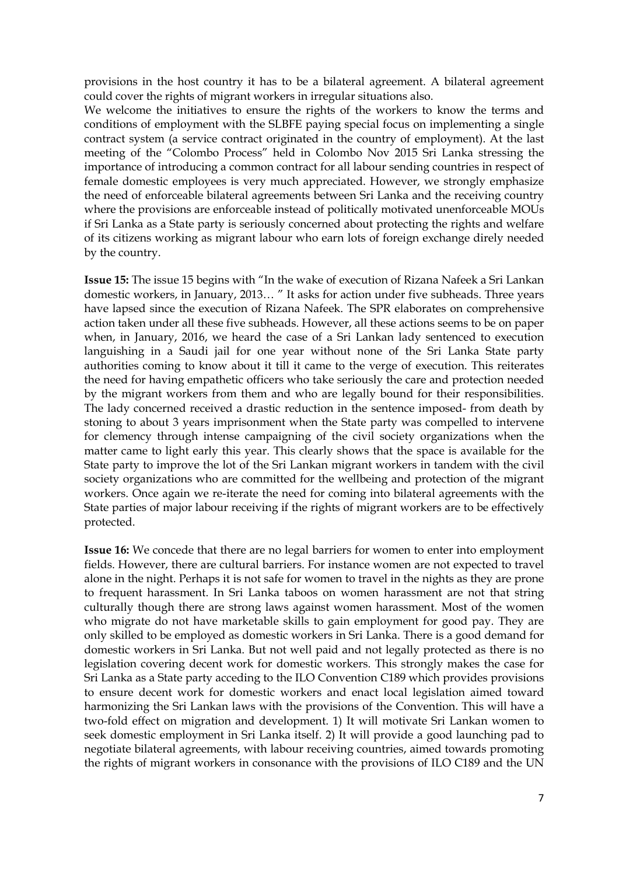provisions in the host country it has to be a bilateral agreement. A bilateral agreement could cover the rights of migrant workers in irregular situations also.

We welcome the initiatives to ensure the rights of the workers to know the terms and conditions of employment with the SLBFE paying special focus on implementing a single contract system (a service contract originated in the country of employment). At the last meeting of the "Colombo Process" held in Colombo Nov 2015 Sri Lanka stressing the importance of introducing a common contract for all labour sending countries in respect of female domestic employees is very much appreciated. However, we strongly emphasize the need of enforceable bilateral agreements between Sri Lanka and the receiving country where the provisions are enforceable instead of politically motivated unenforceable MOUs if Sri Lanka as a State party is seriously concerned about protecting the rights and welfare of its citizens working as migrant labour who earn lots of foreign exchange direly needed by the country.

**Issue 15:** The issue 15 begins with "In the wake of execution of Rizana Nafeek a Sri Lankan domestic workers, in January, 2013… " It asks for action under five subheads. Three years have lapsed since the execution of Rizana Nafeek. The SPR elaborates on comprehensive action taken under all these five subheads. However, all these actions seems to be on paper when, in January, 2016, we heard the case of a Sri Lankan lady sentenced to execution languishing in a Saudi jail for one year without none of the Sri Lanka State party authorities coming to know about it till it came to the verge of execution. This reiterates the need for having empathetic officers who take seriously the care and protection needed by the migrant workers from them and who are legally bound for their responsibilities. The lady concerned received a drastic reduction in the sentence imposed- from death by stoning to about 3 years imprisonment when the State party was compelled to intervene for clemency through intense campaigning of the civil society organizations when the matter came to light early this year. This clearly shows that the space is available for the State party to improve the lot of the Sri Lankan migrant workers in tandem with the civil society organizations who are committed for the wellbeing and protection of the migrant workers. Once again we re-iterate the need for coming into bilateral agreements with the State parties of major labour receiving if the rights of migrant workers are to be effectively protected.

**Issue 16:** We concede that there are no legal barriers for women to enter into employment fields. However, there are cultural barriers. For instance women are not expected to travel alone in the night. Perhaps it is not safe for women to travel in the nights as they are prone to frequent harassment. In Sri Lanka taboos on women harassment are not that string culturally though there are strong laws against women harassment. Most of the women who migrate do not have marketable skills to gain employment for good pay. They are only skilled to be employed as domestic workers in Sri Lanka. There is a good demand for domestic workers in Sri Lanka. But not well paid and not legally protected as there is no legislation covering decent work for domestic workers. This strongly makes the case for Sri Lanka as a State party acceding to the ILO Convention C189 which provides provisions to ensure decent work for domestic workers and enact local legislation aimed toward harmonizing the Sri Lankan laws with the provisions of the Convention. This will have a two-fold effect on migration and development. 1) It will motivate Sri Lankan women to seek domestic employment in Sri Lanka itself. 2) It will provide a good launching pad to negotiate bilateral agreements, with labour receiving countries, aimed towards promoting the rights of migrant workers in consonance with the provisions of ILO C189 and the UN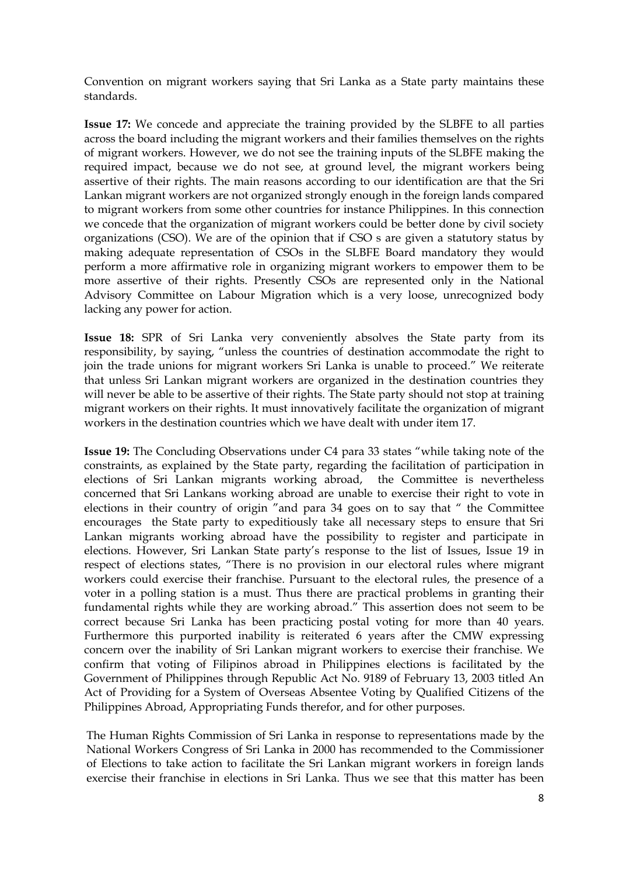Convention on migrant workers saying that Sri Lanka as a State party maintains these standards.

**Issue 17:** We concede and appreciate the training provided by the SLBFE to all parties across the board including the migrant workers and their families themselves on the rights of migrant workers. However, we do not see the training inputs of the SLBFE making the required impact, because we do not see, at ground level, the migrant workers being assertive of their rights. The main reasons according to our identification are that the Sri Lankan migrant workers are not organized strongly enough in the foreign lands compared to migrant workers from some other countries for instance Philippines. In this connection we concede that the organization of migrant workers could be better done by civil society organizations (CSO). We are of the opinion that if CSO s are given a statutory status by making adequate representation of CSOs in the SLBFE Board mandatory they would perform a more affirmative role in organizing migrant workers to empower them to be more assertive of their rights. Presently CSOs are represented only in the National Advisory Committee on Labour Migration which is a very loose, unrecognized body lacking any power for action.

**Issue 18:** SPR of Sri Lanka very conveniently absolves the State party from its responsibility, by saying, "unless the countries of destination accommodate the right to join the trade unions for migrant workers Sri Lanka is unable to proceed." We reiterate that unless Sri Lankan migrant workers are organized in the destination countries they will never be able to be assertive of their rights. The State party should not stop at training migrant workers on their rights. It must innovatively facilitate the organization of migrant workers in the destination countries which we have dealt with under item 17.

**Issue 19:** The Concluding Observations under C4 para 33 states "while taking note of the constraints, as explained by the State party, regarding the facilitation of participation in elections of Sri Lankan migrants working abroad, the Committee is nevertheless concerned that Sri Lankans working abroad are unable to exercise their right to vote in elections in their country of origin "and para 34 goes on to say that " the Committee encourages the State party to expeditiously take all necessary steps to ensure that Sri Lankan migrants working abroad have the possibility to register and participate in elections. However, Sri Lankan State party's response to the list of Issues, Issue 19 in respect of elections states, "There is no provision in our electoral rules where migrant workers could exercise their franchise. Pursuant to the electoral rules, the presence of a voter in a polling station is a must. Thus there are practical problems in granting their fundamental rights while they are working abroad." This assertion does not seem to be correct because Sri Lanka has been practicing postal voting for more than 40 years. Furthermore this purported inability is reiterated 6 years after the CMW expressing concern over the inability of Sri Lankan migrant workers to exercise their franchise. We confirm that voting of Filipinos abroad in Philippines elections is facilitated by the Government of Philippines through Republic Act No. 9189 of February 13, 2003 titled An Act of Providing for a System of Overseas Absentee Voting by Qualified Citizens of the Philippines Abroad, Appropriating Funds therefor, and for other purposes.

The Human Rights Commission of Sri Lanka in response to representations made by the National Workers Congress of Sri Lanka in 2000 has recommended to the Commissioner of Elections to take action to facilitate the Sri Lankan migrant workers in foreign lands exercise their franchise in elections in Sri Lanka. Thus we see that this matter has been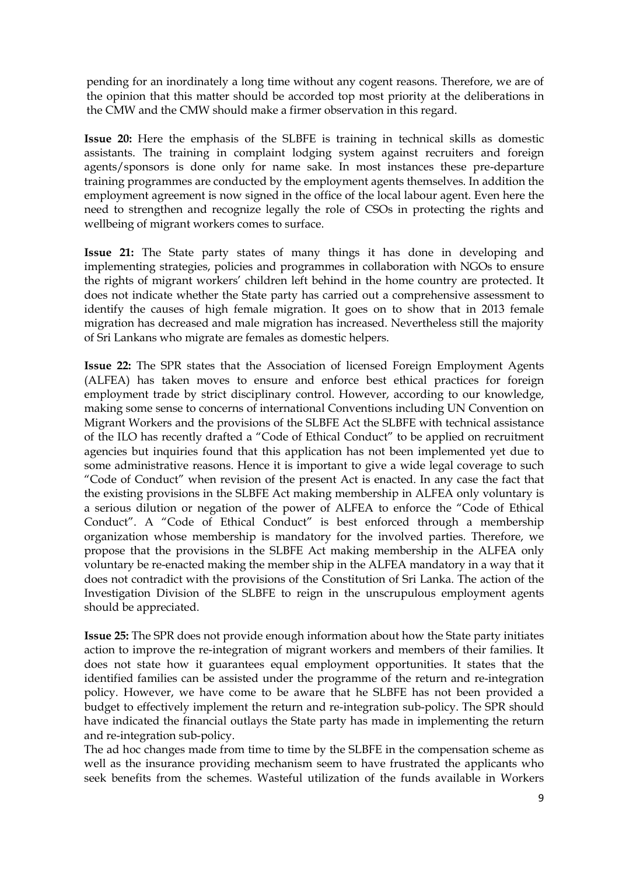pending for an inordinately a long time without any cogent reasons. Therefore, we are of the opinion that this matter should be accorded top most priority at the deliberations in the CMW and the CMW should make a firmer observation in this regard.

**Issue 20:** Here the emphasis of the SLBFE is training in technical skills as domestic assistants. The training in complaint lodging system against recruiters and foreign agents/sponsors is done only for name sake. In most instances these pre-departure training programmes are conducted by the employment agents themselves. In addition the employment agreement is now signed in the office of the local labour agent. Even here the need to strengthen and recognize legally the role of CSOs in protecting the rights and wellbeing of migrant workers comes to surface.

**Issue 21:** The State party states of many things it has done in developing and implementing strategies, policies and programmes in collaboration with NGOs to ensure the rights of migrant workers' children left behind in the home country are protected. It does not indicate whether the State party has carried out a comprehensive assessment to identify the causes of high female migration. It goes on to show that in 2013 female migration has decreased and male migration has increased. Nevertheless still the majority of Sri Lankans who migrate are females as domestic helpers.

**Issue 22:** The SPR states that the Association of licensed Foreign Employment Agents (ALFEA) has taken moves to ensure and enforce best ethical practices for foreign employment trade by strict disciplinary control. However, according to our knowledge, making some sense to concerns of international Conventions including UN Convention on Migrant Workers and the provisions of the SLBFE Act the SLBFE with technical assistance of the ILO has recently drafted a "Code of Ethical Conduct" to be applied on recruitment agencies but inquiries found that this application has not been implemented yet due to some administrative reasons. Hence it is important to give a wide legal coverage to such "Code of Conduct" when revision of the present Act is enacted. In any case the fact that the existing provisions in the SLBFE Act making membership in ALFEA only voluntary is a serious dilution or negation of the power of ALFEA to enforce the "Code of Ethical Conduct". A "Code of Ethical Conduct" is best enforced through a membership organization whose membership is mandatory for the involved parties. Therefore, we propose that the provisions in the SLBFE Act making membership in the ALFEA only voluntary be re-enacted making the member ship in the ALFEA mandatory in a way that it does not contradict with the provisions of the Constitution of Sri Lanka. The action of the Investigation Division of the SLBFE to reign in the unscrupulous employment agents should be appreciated.

**Issue 25:** The SPR does not provide enough information about how the State party initiates action to improve the re-integration of migrant workers and members of their families. It does not state how it guarantees equal employment opportunities. It states that the identified families can be assisted under the programme of the return and re-integration policy. However, we have come to be aware that he SLBFE has not been provided a budget to effectively implement the return and re-integration sub-policy. The SPR should have indicated the financial outlays the State party has made in implementing the return and re-integration sub-policy.

The ad hoc changes made from time to time by the SLBFE in the compensation scheme as well as the insurance providing mechanism seem to have frustrated the applicants who seek benefits from the schemes. Wasteful utilization of the funds available in Workers